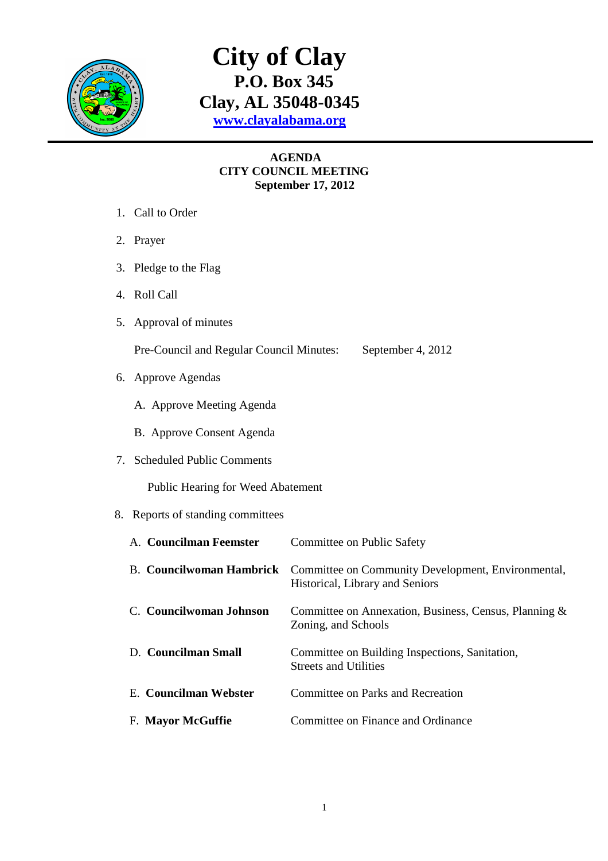

# **City of Clay P.O. Box 345 Clay, AL 35048-0345 www.clayalabama.org**

### **AGENDA CITY COUNCIL MEETING September 17, 2012**

- 1. Call to Order
- 2. Prayer
- 3. Pledge to the Flag
- 4. Roll Call
- 5. Approval of minutes

Pre-Council and Regular Council Minutes: September 4, 2012

- 6. Approve Agendas
	- A. Approve Meeting Agenda
	- B. Approve Consent Agenda
- 7. Scheduled Public Comments

Public Hearing for Weed Abatement

#### 8. Reports of standing committees

| A. Councilman Feemster  | Committee on Public Safety                                                                                     |
|-------------------------|----------------------------------------------------------------------------------------------------------------|
|                         | B. Councilwoman Hambrick Committee on Community Development, Environmental,<br>Historical, Library and Seniors |
| C. Councilwoman Johnson | Committee on Annexation, Business, Census, Planning $\&$<br>Zoning, and Schools                                |
| D. Councilman Small     | Committee on Building Inspections, Sanitation,<br><b>Streets and Utilities</b>                                 |
| E. Councilman Webster   | Committee on Parks and Recreation                                                                              |
| F. Mayor McGuffie       | Committee on Finance and Ordinance                                                                             |